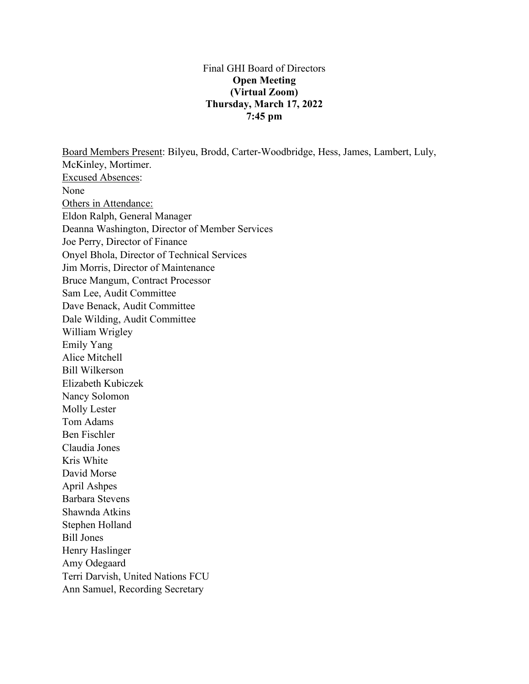#### Final GHI Board of Directors **Open Meeting (Virtual Zoom) Thursday, March 17, 2022 7:45 pm**

Board Members Present: Bilyeu, Brodd, Carter-Woodbridge, Hess, James, Lambert, Luly, McKinley, Mortimer. Excused Absences: None Others in Attendance: Eldon Ralph, General Manager Deanna Washington, Director of Member Services Joe Perry, Director of Finance Onyel Bhola, Director of Technical Services Jim Morris, Director of Maintenance Bruce Mangum, Contract Processor Sam Lee, Audit Committee Dave Benack, Audit Committee Dale Wilding, Audit Committee William Wrigley Emily Yang Alice Mitchell Bill Wilkerson Elizabeth Kubiczek Nancy Solomon Molly Lester Tom Adams Ben Fischler Claudia Jones Kris White David Morse April Ashpes Barbara Stevens Shawnda Atkins Stephen Holland Bill Jones Henry Haslinger Amy Odegaard Terri Darvish, United Nations FCU Ann Samuel, Recording Secretary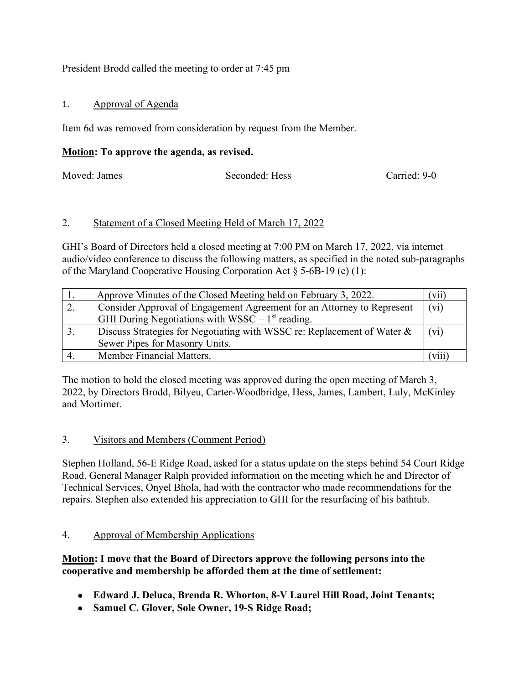## President Brodd called the meeting to order at 7:45 pm

### 1. Approval of Agenda

Item 6d was removed from consideration by request from the Member.

### **Motion: To approve the agenda, as revised.**

Moved: James Seconded: Hess Carried: 9-0

### 2. Statement of a Closed Meeting Held of March 17, 2022

GHI's Board of Directors held a closed meeting at 7:00 PM on March 17, 2022, via internet audio/video conference to discuss the following matters, as specified in the noted sub-paragraphs of the Maryland Cooperative Housing Corporation Act  $\S$  5-6B-19 (e) (1):

| Approve Minutes of the Closed Meeting held on February 3, 2022.         | $\left\lceil \mathrm{V11} \right\rceil$ |
|-------------------------------------------------------------------------|-----------------------------------------|
| Consider Approval of Engagement Agreement for an Attorney to Represent  | $(v_i)$                                 |
| GHI During Negotiations with $WSSC - 1st$ reading.                      |                                         |
| Discuss Strategies for Negotiating with WSSC re: Replacement of Water & | $(v_i)$                                 |
| Sewer Pipes for Masonry Units.                                          |                                         |
| Member Financial Matters.                                               | V111                                    |

The motion to hold the closed meeting was approved during the open meeting of March 3, 2022, by Directors Brodd, Bilyeu, Carter-Woodbridge, Hess, James, Lambert, Luly, McKinley and Mortimer.

# 3. Visitors and Members (Comment Period)

Stephen Holland, 56-E Ridge Road, asked for a status update on the steps behind 54 Court Ridge Road. General Manager Ralph provided information on the meeting which he and Director of Technical Services, Onyel Bhola, had with the contractor who made recommendations for the repairs. Stephen also extended his appreciation to GHI for the resurfacing of his bathtub.

### 4. Approval of Membership Applications

### **Motion: I move that the Board of Directors approve the following persons into the cooperative and membership be afforded them at the time of settlement:**

- **Edward J. Deluca, Brenda R. Whorton, 8-V Laurel Hill Road, Joint Tenants;**
- **Samuel C. Glover, Sole Owner, 19-S Ridge Road;**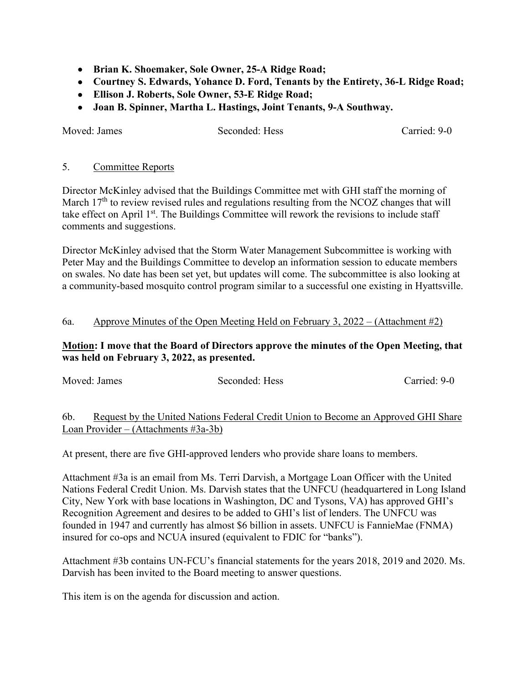- **Brian K. Shoemaker, Sole Owner, 25-A Ridge Road;**
- **Courtney S. Edwards, Yohance D. Ford, Tenants by the Entirety, 36-L Ridge Road;**
- **Ellison J. Roberts, Sole Owner, 53-E Ridge Road;**
- **Joan B. Spinner, Martha L. Hastings, Joint Tenants, 9-A Southway.**

Moved: James Seconded: Hess Carried: 9-0

#### 5. Committee Reports

Director McKinley advised that the Buildings Committee met with GHI staff the morning of March  $17<sup>th</sup>$  to review revised rules and regulations resulting from the NCOZ changes that will take effect on April  $1<sup>st</sup>$ . The Buildings Committee will rework the revisions to include staff comments and suggestions.

Director McKinley advised that the Storm Water Management Subcommittee is working with Peter May and the Buildings Committee to develop an information session to educate members on swales. No date has been set yet, but updates will come. The subcommittee is also looking at a community-based mosquito control program similar to a successful one existing in Hyattsville.

#### 6a. Approve Minutes of the Open Meeting Held on February 3, 2022 – (Attachment #2)

#### **Motion: I move that the Board of Directors approve the minutes of the Open Meeting, that was held on February 3, 2022, as presented.**

| Moved: James     |  | Seconded: Hess |  |  | Carried: 9-0 |  |           |
|------------------|--|----------------|--|--|--------------|--|-----------|
|                  |  |                |  |  |              |  |           |
| $\sim$<br>$\sim$ |  |                |  |  |              |  | 1.7777.01 |

## 6b. Request by the United Nations Federal Credit Union to Become an Approved GHI Share Loan Provider – (Attachments #3a-3b)

At present, there are five GHI-approved lenders who provide share loans to members.

Attachment #3a is an email from Ms. Terri Darvish, a Mortgage Loan Officer with the United Nations Federal Credit Union. Ms. Darvish states that the UNFCU (headquartered in Long Island City, New York with base locations in Washington, DC and Tysons, VA) has approved GHI's Recognition Agreement and desires to be added to GHI's list of lenders. The UNFCU was founded in 1947 and currently has almost \$6 billion in assets. UNFCU is FannieMae (FNMA) insured for co-ops and NCUA insured (equivalent to FDIC for "banks").

Attachment #3b contains UN-FCU's financial statements for the years 2018, 2019 and 2020. Ms. Darvish has been invited to the Board meeting to answer questions.

This item is on the agenda for discussion and action.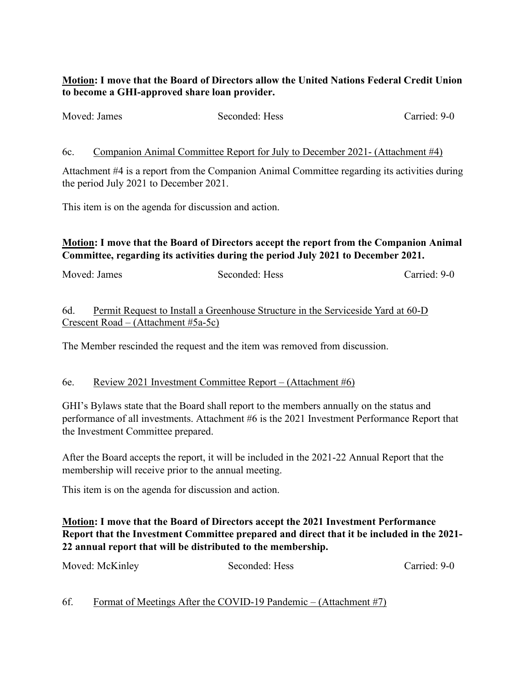### **Motion: I move that the Board of Directors allow the United Nations Federal Credit Union to become a GHI-approved share loan provider.**

| Moved: James | Seconded: Hess | Carried: 9-0 |
|--------------|----------------|--------------|
|              |                |              |

6c. Companion Animal Committee Report for July to December 2021- (Attachment #4)

Attachment #4 is a report from the Companion Animal Committee regarding its activities during the period July 2021 to December 2021.

This item is on the agenda for discussion and action.

# **Motion: I move that the Board of Directors accept the report from the Companion Animal Committee, regarding its activities during the period July 2021 to December 2021.**

Moved: James Seconded: Hess Carried: 9-0

# 6d. Permit Request to Install a Greenhouse Structure in the Serviceside Yard at 60-D Crescent Road – (Attachment #5a-5c)

The Member rescinded the request and the item was removed from discussion.

### 6e. Review 2021 Investment Committee Report – (Attachment #6)

GHI's Bylaws state that the Board shall report to the members annually on the status and performance of all investments. Attachment #6 is the 2021 Investment Performance Report that the Investment Committee prepared.

After the Board accepts the report, it will be included in the 2021-22 Annual Report that the membership will receive prior to the annual meeting.

This item is on the agenda for discussion and action.

# **Motion: I move that the Board of Directors accept the 2021 Investment Performance Report that the Investment Committee prepared and direct that it be included in the 2021- 22 annual report that will be distributed to the membership.**

| Moved: McKinley | Seconded: Hess | Carried: 9-0 |
|-----------------|----------------|--------------|
|-----------------|----------------|--------------|

# 6f. Format of Meetings After the COVID-19 Pandemic – (Attachment #7)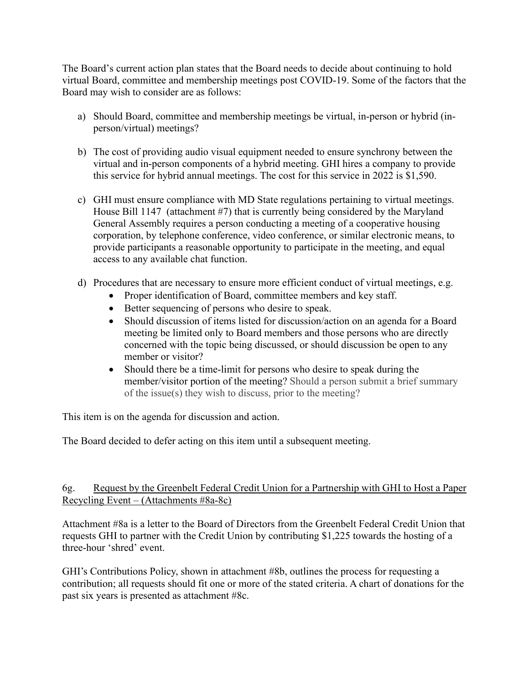The Board's current action plan states that the Board needs to decide about continuing to hold virtual Board, committee and membership meetings post COVID-19. Some of the factors that the Board may wish to consider are as follows:

- a) Should Board, committee and membership meetings be virtual, in-person or hybrid (inperson/virtual) meetings?
- b) The cost of providing audio visual equipment needed to ensure synchrony between the virtual and in-person components of a hybrid meeting. GHI hires a company to provide this service for hybrid annual meetings. The cost for this service in 2022 is \$1,590.
- c) GHI must ensure compliance with MD State regulations pertaining to virtual meetings. House Bill 1147 (attachment #7) that is currently being considered by the Maryland General Assembly requires a person conducting a meeting of a cooperative housing corporation, by telephone conference, video conference, or similar electronic means, to provide participants a reasonable opportunity to participate in the meeting, and equal access to any available chat function.
- d) Procedures that are necessary to ensure more efficient conduct of virtual meetings, e.g.
	- Proper identification of Board, committee members and key staff.
	- Better sequencing of persons who desire to speak.
	- Should discussion of items listed for discussion/action on an agenda for a Board meeting be limited only to Board members and those persons who are directly concerned with the topic being discussed, or should discussion be open to any member or visitor?
	- Should there be a time-limit for persons who desire to speak during the member/visitor portion of the meeting? Should a person submit a brief summary of the issue(s) they wish to discuss, prior to the meeting?

This item is on the agenda for discussion and action.

The Board decided to defer acting on this item until a subsequent meeting.

### 6g. Request by the Greenbelt Federal Credit Union for a Partnership with GHI to Host a Paper Recycling Event – (Attachments #8a-8c)

Attachment #8a is a letter to the Board of Directors from the Greenbelt Federal Credit Union that requests GHI to partner with the Credit Union by contributing \$1,225 towards the hosting of a three-hour 'shred' event.

GHI's Contributions Policy, shown in attachment #8b, outlines the process for requesting a contribution; all requests should fit one or more of the stated criteria. A chart of donations for the past six years is presented as attachment #8c.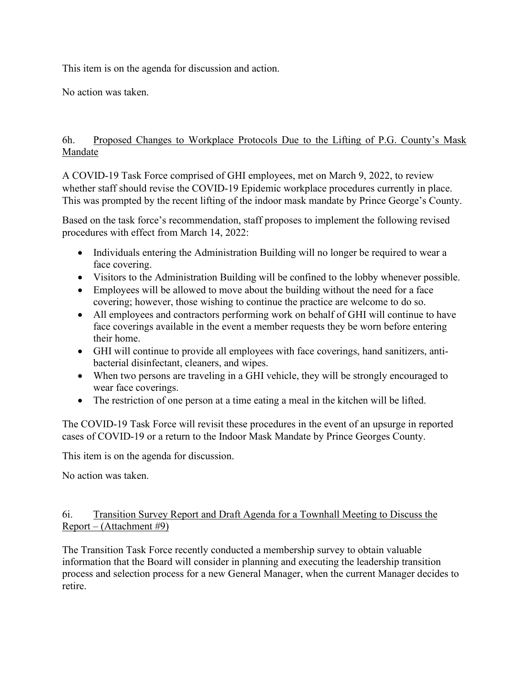This item is on the agenda for discussion and action.

No action was taken.

### 6h. Proposed Changes to Workplace Protocols Due to the Lifting of P.G. County's Mask Mandate

A COVID-19 Task Force comprised of GHI employees, met on March 9, 2022, to review whether staff should revise the COVID-19 Epidemic workplace procedures currently in place. This was prompted by the recent lifting of the indoor mask mandate by Prince George's County.

Based on the task force's recommendation, staff proposes to implement the following revised procedures with effect from March 14, 2022:

- Individuals entering the Administration Building will no longer be required to wear a face covering.
- Visitors to the Administration Building will be confined to the lobby whenever possible.
- Employees will be allowed to move about the building without the need for a face covering; however, those wishing to continue the practice are welcome to do so.
- All employees and contractors performing work on behalf of GHI will continue to have face coverings available in the event a member requests they be worn before entering their home.
- GHI will continue to provide all employees with face coverings, hand sanitizers, antibacterial disinfectant, cleaners, and wipes.
- When two persons are traveling in a GHI vehicle, they will be strongly encouraged to wear face coverings.
- The restriction of one person at a time eating a meal in the kitchen will be lifted.

The COVID-19 Task Force will revisit these procedures in the event of an upsurge in reported cases of COVID-19 or a return to the Indoor Mask Mandate by Prince Georges County.

This item is on the agenda for discussion.

No action was taken.

### 6i. Transition Survey Report and Draft Agenda for a Townhall Meeting to Discuss the Report – (Attachment #9)

The Transition Task Force recently conducted a membership survey to obtain valuable information that the Board will consider in planning and executing the leadership transition process and selection process for a new General Manager, when the current Manager decides to retire.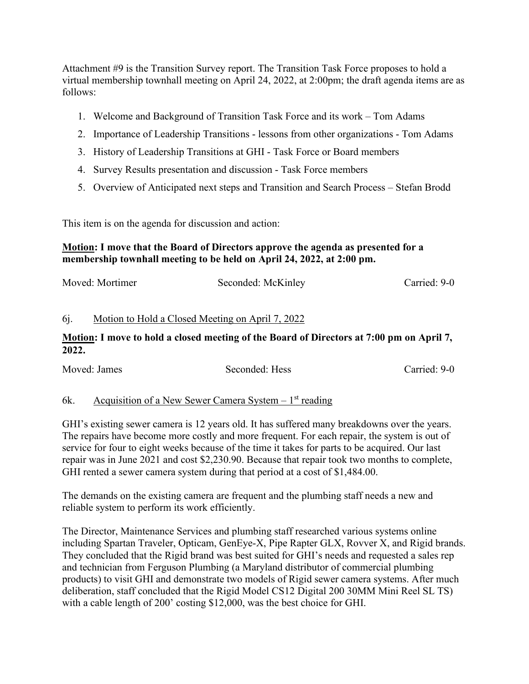Attachment #9 is the Transition Survey report. The Transition Task Force proposes to hold a virtual membership townhall meeting on April 24, 2022, at 2:00pm; the draft agenda items are as follows:

- 1. Welcome and Background of Transition Task Force and its work Tom Adams
- 2. Importance of Leadership Transitions lessons from other organizations Tom Adams
- 3. History of Leadership Transitions at GHI Task Force or Board members
- 4. Survey Results presentation and discussion Task Force members
- 5. Overview of Anticipated next steps and Transition and Search Process Stefan Brodd

This item is on the agenda for discussion and action:

#### **Motion: I move that the Board of Directors approve the agenda as presented for a membership townhall meeting to be held on April 24, 2022, at 2:00 pm.**

| Moved: Mortimer | Seconded: McKinley | Carried: 9-0 |
|-----------------|--------------------|--------------|
|                 |                    |              |

### 6j. Motion to Hold a Closed Meeting on April 7, 2022

### **Motion: I move to hold a closed meeting of the Board of Directors at 7:00 pm on April 7, 2022.**

| Moved: James | Seconded: Hess | Carried: 9-0 |
|--------------|----------------|--------------|
|              |                |              |

#### 6k. Acquisition of a New Sewer Camera System  $-1<sup>st</sup>$  reading

GHI's existing sewer camera is 12 years old. It has suffered many breakdowns over the years. The repairs have become more costly and more frequent. For each repair, the system is out of service for four to eight weeks because of the time it takes for parts to be acquired. Our last repair was in June 2021 and cost \$2,230.90. Because that repair took two months to complete, GHI rented a sewer camera system during that period at a cost of \$1,484.00.

The demands on the existing camera are frequent and the plumbing staff needs a new and reliable system to perform its work efficiently.

The Director, Maintenance Services and plumbing staff researched various systems online including Spartan Traveler, Opticam, GenEye-X, Pipe Rapter GLX, Rovver X, and Rigid brands. They concluded that the Rigid brand was best suited for GHI's needs and requested a sales rep and technician from Ferguson Plumbing (a Maryland distributor of commercial plumbing products) to visit GHI and demonstrate two models of Rigid sewer camera systems. After much deliberation, staff concluded that the Rigid Model CS12 Digital 200 30MM Mini Reel SL TS) with a cable length of 200' costing \$12,000, was the best choice for GHI.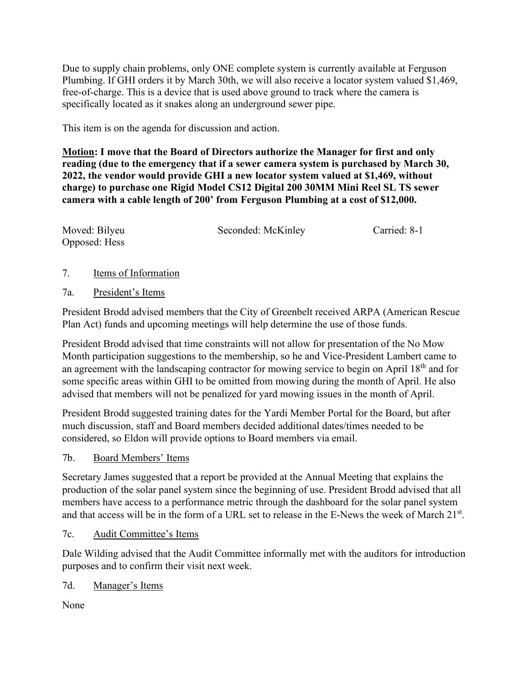Due to supply chain problems, only ONE complete system is currently available at Ferguson Plumbing. If GHI orders it by March 30th, we will also receive a locator system valued \$1,469, free-of-charge. This is a device that is used above ground to track where the camera is specifically located as it snakes along an underground sewer pipe.

This item is on the agenda for discussion and action.

**Motion: I move that the Board of Directors authorize the Manager for first and only reading (due to the emergency that if a sewer camera system is purchased by March 30, 2022, the vendor would provide GHI a new locator system valued at \$1,469, without charge) to purchase one Rigid Model CS12 Digital 200 30MM Mini Reel SL TS sewer camera with a cable length of 200' from Ferguson Plumbing at a cost of \$12,000.**

| Moved: Bilyeu | Seconded: McKinley | Carried: 8-1 |
|---------------|--------------------|--------------|
| Opposed: Hess |                    |              |

- 7. Items of Information
- 7a. President's Items

President Brodd advised members that the City of Greenbelt received ARPA (American Rescue Plan Act) funds and upcoming meetings will help determine the use of those funds.

President Brodd advised that time constraints will not allow for presentation of the No Mow Month participation suggestions to the membership, so he and Vice-President Lambert came to an agreement with the landscaping contractor for mowing service to begin on April 18<sup>th</sup> and for some specific areas within GHI to be omitted from mowing during the month of April. He also advised that members will not be penalized for yard mowing issues in the month of April.

President Brodd suggested training dates for the Yardi Member Portal for the Board, but after much discussion, staff and Board members decided additional dates/times needed to be considered, so Eldon will provide options to Board members via email.

7b. Board Members' Items

Secretary James suggested that a report be provided at the Annual Meeting that explains the production of the solar panel system since the beginning of use. President Brodd advised that all members have access to a performance metric through the dashboard for the solar panel system and that access will be in the form of a URL set to release in the E-News the week of March 21<sup>st</sup>.

# 7c. Audit Committee's Items

Dale Wilding advised that the Audit Committee informally met with the auditors for introduction purposes and to confirm their visit next week.

7d. Manager's Items

None